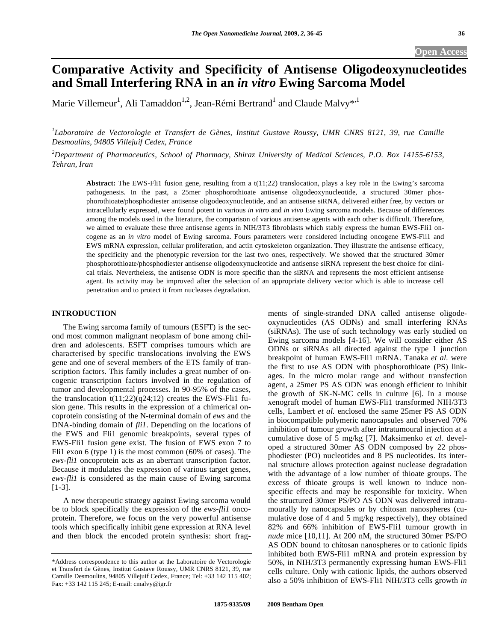# **Comparative Activity and Specificity of Antisense Oligodeoxynucleotides and Small Interfering RNA in an** *in vitro* **Ewing Sarcoma Model**

Marie Villemeur<sup>1</sup>, Ali Tamaddon<sup>1,2</sup>, Jean-Rémi Bertrand<sup>1</sup> and Claude Malvy\*<sup>,1</sup>

<sup>1</sup>Laboratoire de Vectorologie et Transfert de Gènes, Institut Gustave Roussy, UMR CNRS 8121, 39, rue Camille *Desmoulins, 94805 Villejuif Cedex, France* 

*2 Department of Pharmaceutics, School of Pharmacy, Shiraz University of Medical Sciences, P.O. Box 14155-6153, Tehran, Iran* 

Abstract: The EWS-Fli1 fusion gene, resulting from a t(11;22) translocation, plays a key role in the Ewing's sarcoma pathogenesis. In the past, a 25mer phosphorothioate antisense oligodeoxynucleotide, a structured 30mer phosphorothioate/phosphodiester antisense oligodeoxynucleotide, and an antisense siRNA, delivered either free, by vectors or intracellularly expressed, were found potent in various *in vitro* and *in vivo* Ewing sarcoma models. Because of differences among the models used in the literature, the comparison of various antisense agents with each other is difficult. Therefore, we aimed to evaluate these three antisense agents in NIH/3T3 fibroblasts which stably express the human EWS-Fli1 oncogene as an *in vitro* model of Ewing sarcoma. Fours parameters were considered including oncogene EWS-Fli1 and EWS mRNA expression, cellular proliferation, and actin cytoskeleton organization. They illustrate the antisense efficacy, the specificity and the phenotypic reversion for the last two ones, respectively. We showed that the structured 30mer phosphorothioate/phosphodiester antisense oligodeoxynucleotide and antisense siRNA represent the best choice for clinical trials. Nevertheless, the antisense ODN is more specific than the siRNA and represents the most efficient antisense agent. Its activity may be improved after the selection of an appropriate delivery vector which is able to increase cell penetration and to protect it from nucleases degradation.

# **INTRODUCTION**

 The Ewing sarcoma family of tumours (ESFT) is the second most common malignant neoplasm of bone among children and adolescents. ESFT comprises tumours which are characterised by specific translocations involving the EWS gene and one of several members of the ETS family of transcription factors. This family includes a great number of oncogenic transcription factors involved in the regulation of tumor and developmental processes. In 90-95% of the cases, the translocation  $t(11;22)(q24;12)$  creates the EWS-Fli1 fusion gene. This results in the expression of a chimerical oncoprotein consisting of the N-terminal domain of *ews* and the DNA-binding domain of *fli1*. Depending on the locations of the EWS and Fli1 genomic breakpoints, several types of EWS-Fli1 fusion gene exist. The fusion of EWS exon 7 to Fli1 exon 6 (type 1) is the most common (60% of cases). The *ews-fli1* oncoprotein acts as an aberrant transcription factor. Because it modulates the expression of various target genes, *ews-fli1* is considered as the main cause of Ewing sarcoma [1-3].

 A new therapeutic strategy against Ewing sarcoma would be to block specifically the expression of the *ews-fli1* oncoprotein. Therefore, we focus on the very powerful antisense tools which specifically inhibit gene expression at RNA level and then block the encoded protein synthesis: short fragments of single-stranded DNA called antisense oligodeoxynucleotides (AS ODNs) and small interfering RNAs (siRNAs). The use of such technology was early studied on Ewing sarcoma models [4-16]. We will consider either AS ODNs or siRNAs all directed against the type 1 junction breakpoint of human EWS-Fli1 mRNA. Tanaka *et al.* were the first to use AS ODN with phosphorothioate (PS) linkages. In the micro molar range and without transfection agent, a 25mer PS AS ODN was enough efficient to inhibit the growth of SK-N-MC cells in culture [6]. In a mouse xenograft model of human EWS-Fli1 transformed NIH/3T3 cells, Lambert *et al.* enclosed the same 25mer PS AS ODN in biocompatible polymeric nanocapsules and observed 70% inhibition of tumour growth after intratumoural injection at a cumulative dose of 5 mg/kg [7]. Maksimenko *et al.* developed a structured 30mer AS ODN composed by 22 phosphodiester (PO) nucleotides and 8 PS nucleotides. Its internal structure allows protection against nuclease degradation with the advantage of a low number of thioate groups. The excess of thioate groups is well known to induce nonspecific effects and may be responsible for toxicity. When the structured 30mer PS/PO AS ODN was delivered intratumourally by nanocapsules or by chitosan nanospheres (cumulative dose of 4 and 5 mg/kg respectively), they obtained 82% and 66% inhibition of EWS-Fli1 tumour growth in *nude* mice [10,11]. At 200 nM, the structured 30mer PS/PO AS ODN bound to chitosan nanospheres or to cationic lipids inhibited both EWS-Fli1 mRNA and protein expression by 50%, in NIH/3T3 permanently expressing human EWS-Fli1 cells culture. Only with cationic lipids, the authors observed also a 50% inhibition of EWS-Fli1 NIH/3T3 cells growth *in* 

<sup>\*</sup>Address correspondence to this author at the Laboratoire de Vectorologie et Transfert de Gènes, Institut Gustave Roussy, UMR CNRS 8121, 39, rue Camille Desmoulins, 94805 Villejuif Cedex, France; Tel: +33 142 115 402; Fax: +33 142 115 245; E-mail: cmalvy@igr.fr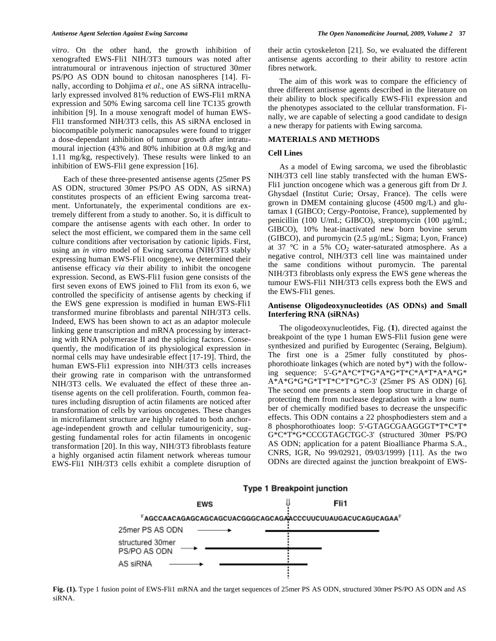*vitro*. On the other hand, the growth inhibition of xenografted EWS-Fli1 NIH/3T3 tumours was noted after intratumoural or intravenous injection of structured 30mer PS/PO AS ODN bound to chitosan nanospheres [14]. Finally, according to Dohjima *et al.*, one AS siRNA intracellularly expressed involved 81% reduction of EWS-Fli1 mRNA expression and 50% Ewing sarcoma cell line TC135 growth inhibition [9]. In a mouse xenograft model of human EWS-Fli1 transformed NIH/3T3 cells, this AS siRNA enclosed in biocompatible polymeric nanocapsules were found to trigger a dose-dependant inhibition of tumour growth after intratumoural injection (43% and 80% inhibition at 0.8 mg/kg and 1.11 mg/kg, respectively). These results were linked to an inhibition of EWS-Fli1 gene expression [16].

 Each of these three-presented antisense agents (25mer PS AS ODN, structured 30mer PS/PO AS ODN, AS siRNA) constitutes prospects of an efficient Ewing sarcoma treatment. Unfortunately, the experimental conditions are extremely different from a study to another. So, it is difficult to compare the antisense agents with each other. In order to select the most efficient, we compared them in the same cell culture conditions after vectorisation by cationic lipids. First, using an *in vitro* model of Ewing sarcoma (NIH/3T3 stably expressing human EWS-Fli1 oncogene), we determined their antisense efficacy *via* their ability to inhibit the oncogene expression. Second, as EWS-Fli1 fusion gene consists of the first seven exons of EWS joined to Fli1 from its exon 6, we controlled the specificity of antisense agents by checking if the EWS gene expression is modified in human EWS-Fli1 transformed murine fibroblasts and parental NIH/3T3 cells. Indeed, EWS has been shown to act as an adaptor molecule linking gene transcription and mRNA processing by interacting with RNA polymerase II and the splicing factors. Consequently, the modification of its physiological expression in normal cells may have undesirable effect [17-19]. Third, the human EWS-Fli1 expression into NIH/3T3 cells increases their growing rate in comparison with the untransformed NIH/3T3 cells. We evaluated the effect of these three antisense agents on the cell proliferation. Fourth, common features including disruption of actin filaments are noticed after transformation of cells by various oncogenes. These changes in microfilament structure are highly related to both anchorage-independent growth and cellular tumourigenicity, suggesting fundamental roles for actin filaments in oncogenic transformation [20]. In this way, NIH/3T3 fibroblasts feature a highly organised actin filament network whereas tumour EWS-Fli1 NIH/3T3 cells exhibit a complete disruption of their actin cytoskeleton [21]. So, we evaluated the different antisense agents according to their ability to restore actin fibres network.

 The aim of this work was to compare the efficiency of three different antisense agents described in the literature on their ability to block specifically EWS-Fli1 expression and the phenotypes associated to the cellular transformation. Finally, we are capable of selecting a good candidate to design a new therapy for patients with Ewing sarcoma.

# **MATERIALS AND METHODS**

#### **Cell Lines**

 As a model of Ewing sarcoma, we used the fibroblastic NIH/3T3 cell line stably transfected with the human EWS-Fli1 junction oncogene which was a generous gift from Dr J. Ghysdael (Institut Curie; Orsay, France). The cells were grown in DMEM containing glucose (4500 mg/L) and glutamax I (GIBCO; Cergy-Pontoise, France), supplemented by penicillin (100 U/mL; GIBCO), streptomycin (100  $\mu$ g/mL; GIBCO), 10% heat-inactivated new born bovine serum (GIBCO), and puromycin (2.5 µg/mL; Sigma; Lyon, France) at 37 °C in a 5%  $CO<sub>2</sub>$  water-saturated atmosphere. As a negative control, NIH/3T3 cell line was maintained under the same conditions without puromycin. The parental NIH/3T3 fibroblasts only express the EWS gene whereas the tumour EWS-Fli1 NIH/3T3 cells express both the EWS and the EWS-Fli1 genes.

# **Antisense Oligodeoxynucleotides (AS ODNs) and Small Interfering RNA (siRNAs)**

 The oligodeoxynucleotides, Fig. (**1**), directed against the breakpoint of the type 1 human EWS-Fli1 fusion gene were synthesized and purified by Eurogentec (Seraing, Belgium). The first one is a 25mer fully constituted by phosphorothioate linkages (which are noted by\*) with the following sequence: 5'-G\*A\*C\*T\*G\*A\*G\*T\*C\*A\*T\*A\*A\*G\* A\*A\*G\*G\*G\*T\*T\*C\*T\*G\*C-3' (25mer PS AS ODN) [6]. The second one presents a stem loop structure in charge of protecting them from nuclease degradation with a low number of chemically modified bases to decrease the unspecific effects. This ODN contains a 22 phosphodiesters stem and a 8 phosphorothioates loop: 5'-GTAGCGAAGGGT\*T\*C\*T\* G\*C\*T\*G\*CCCGTAGCTGC-3' (structured 30mer PS/PO AS ODN; application for a patent Bioalliance Pharma S.A., CNRS, IGR, No 99/02921, 09/03/1999) [11]. As the two ODNs are directed against the junction breakpoint of EWS-



**Fig. (1).** Type 1 fusion point of EWS-Fli1 mRNA and the target sequences of 25mer PS AS ODN, structured 30mer PS/PO AS ODN and AS siRNA.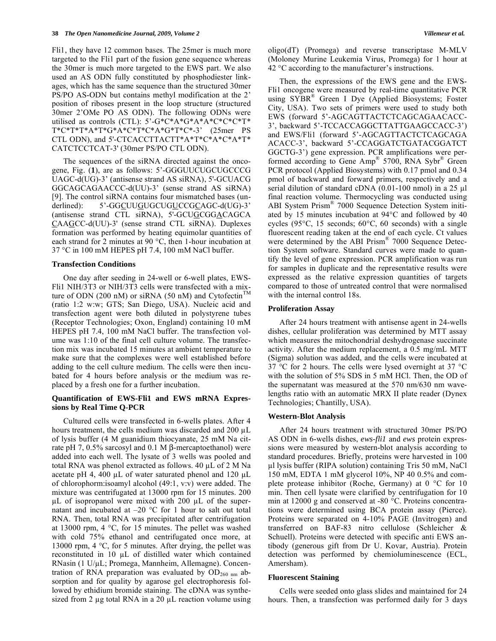Fli1, they have 12 common bases. The 25mer is much more targeted to the Fli1 part of the fusion gene sequence whereas the 30mer is much more targeted to the EWS part. We also used an AS ODN fully constituted by phosphodiester linkages, which has the same sequence than the structured 30mer PS/PO AS-ODN but contains methyl modification at the 2' position of riboses present in the loop structure (structured 30mer 2'OMe PO AS ODN). The following ODNs were utilised as controls (CTL): 5'-G\*C\*A\*G\*A\*A\*C\*C\*C\*T\* T\*C\*T\*T\*A\*T\*G\*A\*C\*T\*C\*A\*G\*T\*C\*-3' (25mer PS CTL ODN), and 5'-CTCACCTTACTT\*A\*T\*C\*A\*C\*A\*T\* CATCTCCTCAT-3' (30mer PS/PO CTL ODN).

 The sequences of the siRNA directed against the oncogene, Fig. (**1**), are as follows: 5'-GGGUUCUGCUGCCCG UAGC-d(UG)-3' (antisense strand AS siRNA), 5'-GCUACG GGCAGCAGAACCC-d(UU)-3' (sense strand AS siRNA) [9]. The control siRNA contains four mismatched bases (underlined): 5'-GGCUUGUGCUGUCCGCAGC-d(UG)-3' (antisense strand CTL siRNA), 5'-GCUGCGGACAGCA CAAGCC-d(UU)-3' (sense strand CTL siRNA). Duplexes formation was performed by heating equimolar quantities of each strand for 2 minutes at 90 °C, then 1-hour incubation at 37 °C in 100 mM HEPES pH 7.4, 100 mM NaCl buffer.

#### **Transfection Conditions**

 One day after seeding in 24-well or 6-well plates, EWS-Fli1 NIH/3T3 or NIH/3T3 cells were transfected with a mixture of ODN (200 nM) or siRNA (50 nM) and Cytofectin<sup>TM</sup> (ratio 1:2 w:w; GTS; San Diego, USA). Nucleic acid and transfection agent were both diluted in polystyrene tubes (Receptor Technologies; Oxon, England) containing 10 mM HEPES pH 7.4, 100 mM NaCl buffer. The transfection volume was 1:10 of the final cell culture volume. The transfection mix was incubated 15 minutes at ambient temperature to make sure that the complexes were well established before adding to the cell culture medium. The cells were then incubated for 4 hours before analysis or the medium was replaced by a fresh one for a further incubation.

#### **Quantification of EWS-Fli1 and EWS mRNA Expressions by Real Time Q-PCR**

 Cultured cells were transfected in 6-wells plates. After 4 hours treatment, the cells medium was discarded and 200  $\mu$ L of lysis buffer (4 M guanidium thiocyanate, 25 mM Na citrate pH 7, 0.5% sarcosyl and 0.1 M  $\beta$ -mercaptoethanol) were added into each well. The lysate of 3 wells was pooled and total RNA was phenol extracted as follows.  $40 \mu L$  of  $2 M Na$ acetate pH 4, 400  $\mu$ L of water saturated phenol and 120  $\mu$ L of chlorophorm:isoamyl alcohol (49:1, v:v) were added. The mixture was centrifugated at 13000 rpm for 15 minutes. 200  $\mu$ L of isopropanol were mixed with 200  $\mu$ L of the supernatant and incubated at  $-20$  °C for 1 hour to salt out total RNA. Then, total RNA was precipitated after centrifugation at 13000 rpm, 4 °C, for 15 minutes. The pellet was washed with cold 75% ethanol and centrifugated once more, at 13000 rpm, 4 °C, for 5 minutes. After drying, the pellet was reconstituted in 10  $\mu$ L of distilled water which contained  $RNasin (1 U/µL; Promega, Mannheim, Allemagne)$ . Concentration of RNA preparation was evaluated by  $OD_{260 \text{ nm}}$  absorption and for quality by agarose gel electrophoresis followed by ethidium bromide staining. The cDNA was synthesized from 2  $\mu$ g total RNA in a 20  $\mu$ L reaction volume using oligo(dT) (Promega) and reverse transcriptase M-MLV (Moloney Murine Leukemia Virus, Promega) for 1 hour at 42 °C according to the manufacturer's instructions.

 Then, the expressions of the EWS gene and the EWS-Fli1 oncogene were measured by real-time quantitative PCR using SYBR<sup>®</sup> Green I Dye (Applied Biosystems; Foster City, USA). Two sets of primers were used to study both EWS (forward 5'-AGCAGTTACTCTCAGCAGAACACC-3', backward 5'-TCCACCAGGCTTATTGAAGCCACC-3') and EWS/Fli1 (forward 5'-AGCAGTTACTCTCAGCAGA ACACC-3', backward 5'-CCAGGATCTGATACGGATCT GGCTG-3') gene expression. PCR amplifications were performed according to Gene Amp® 5700, RNA Sybr® Green PCR protocol (Applied Biosystems) with 0.17 pmol and 0.34 pmol of backward and forward primers, respectively and a serial dilution of standard cDNA (0.01-100 nmol) in a 25 μl final reaction volume. Thermocycling was conducted using ABI System Prism® 7000 Sequence Detection System initiated by 15 minutes incubation at 94°C and followed by 40 cycles (95°C, 15 seconds; 60°C, 60 seconds) with a single fluorescent reading taken at the end of each cycle. Ct values were determined by the ABI Prism® 7000 Sequence Detection System software. Standard curves were made to quantify the level of gene expression. PCR amplification was run for samples in duplicate and the representative results were expressed as the relative expression quantities of targets compared to those of untreated control that were normalised with the internal control 18s.

#### **Proliferation Assay**

 After 24 hours treatment with antisense agent in 24-wells dishes, cellular proliferation was determined by MTT assay which measures the mitochondrial deshydrogenase succinate activity. After the medium replacement, a 0.5 mg/mL MTT (Sigma) solution was added, and the cells were incubated at 37 °C for 2 hours. The cells were lysed overnight at 37 °C with the solution of 5% SDS in 5 mM HCl. Then, the OD of the supernatant was measured at the 570 nm/630 nm wavelengths ratio with an automatic MRX II plate reader (Dynex Technologies; Chantilly, USA).

#### **Western-Blot Analysis**

 After 24 hours treatment with structured 30mer PS/PO AS ODN in 6-wells dishes, *ews-fli1* and *ews* protein expressions were measured by western-blot analysis according to standard procedures. Briefly, proteins were harvested in 100 l lysis buffer (RIPA solution) containing Tris 50 mM, NaCl 150 mM, EDTA 1 mM glycerol 10%, NP 40 0.5% and complete protease inhibitor (Roche, Germany) at 0 °C for 10 min. Then cell lysate were clarified by centrifugation for 10 min at 12000 g and conserved at -80 °C. Proteins concentrations were determined using BCA protein assay (Pierce). Proteins were separated on 4-10% PAGE (Invitrogen) and transferred on BAF-83 nitro cellulose (Schleicher & Schuell). Proteins were detected with specific anti EWS antibody (generous gift from Dr U. Kovar, Austria). Protein detection was performed by chemioluminescence (ECL, Amersham).

# **Fluorescent Staining**

 Cells were seeded onto glass slides and maintained for 24 hours. Then, a transfection was performed daily for 3 days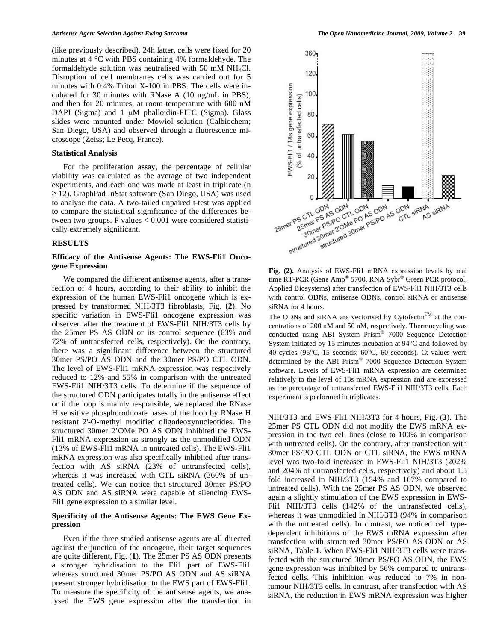(like previously described). 24h latter, cells were fixed for 20 minutes at 4 °C with PBS containing 4% formaldehyde. The formaldehyde solution was neutralised with 50 mM  $NH<sub>4</sub>Cl$ . Disruption of cell membranes cells was carried out for 5 minutes with 0.4% Triton X-100 in PBS. The cells were incubated for 30 minutes with RNase A  $(10 \mu g/mL)$  in PBS), and then for 20 minutes, at room temperature with 600 nM DAPI (Sigma) and  $1 \mu M$  phalloidin-FITC (Sigma). Glass slides were mounted under Mowiol solution (Calbiochem; San Diego, USA) and observed through a fluorescence microscope (Zeiss; Le Pecq, France).

#### **Statistical Analysis**

 For the proliferation assay, the percentage of cellular viability was calculated as the average of two independent experiments, and each one was made at least in triplicate (n  $\ge$  12). GraphPad InStat software (San Diego, USA) was used to analyse the data. A two-tailed unpaired t-test was applied to compare the statistical significance of the differences between two groups. P values < 0.001 were considered statistically extremely significant.

### **RESULTS**

# **Efficacy of the Antisense Agents: The EWS-Fli1 Oncogene Expression**

 We compared the different antisense agents, after a transfection of 4 hours, according to their ability to inhibit the expression of the human EWS-Fli1 oncogene which is expressed by transformed NIH/3T3 fibroblasts, Fig. (**2**). No specific variation in EWS-Fli1 oncogene expression was observed after the treatment of EWS-Fli1 NIH/3T3 cells by the 25mer PS AS ODN or its control sequence (63% and 72% of untransfected cells, respectively). On the contrary, there was a significant difference between the structured 30mer PS/PO AS ODN and the 30mer PS/PO CTL ODN. The level of EWS-Fli1 mRNA expression was respectively reduced to 12% and 55% in comparison with the untreated EWS-Fli1 NIH/3T3 cells. To determine if the sequence of the structured ODN participates totally in the antisense effect or if the loop is mainly responsible, we replaced the RNase H sensitive phosphorothioate bases of the loop by RNase H resistant 2'-O-methyl modified oligodeoxynucleotides. The structured 30mer 2'OMe PO AS ODN inhibited the EWS-Fli1 mRNA expression as strongly as the unmodified ODN (13% of EWS-Fli1 mRNA in untreated cells). The EWS-Fli1 mRNA expression was also specifically inhibited after transfection with AS siRNA (23% of untransfected cells), whereas it was increased with CTL siRNA (360% of untreated cells). We can notice that structured 30mer PS/PO AS ODN and AS siRNA were capable of silencing EWS-Fli1 gene expression to a similar level.

# **Specificity of the Antisense Agents: The EWS Gene Expression**

 Even if the three studied antisense agents are all directed against the junction of the oncogene, their target sequences are quite different, Fig. (**1**). The 25mer PS AS ODN presents a stronger hybridisation to the Fli1 part of EWS-Fli1 whereas structured 30mer PS/PO AS ODN and AS siRNA present stronger hybridisation to the EWS part of EWS-Fli1. To measure the specificity of the antisense agents, we analysed the EWS gene expression after the transfection in



**Fig. (2).** Analysis of EWS-Fli1 mRNA expression levels by real time RT-PCR (Gene Amp® 5700, RNA Sybr® Green PCR protocol, Applied Biosystems) after transfection of EWS-Fli1 NIH/3T3 cells with control ODNs, antisense ODNs, control siRNA or antisense siRNA for 4 hours.

The ODNs and siRNA are vectorised by Cytofectin<sup>TM</sup> at the concentrations of 200 nM and 50 nM, respectively. Thermocycling was conducted using ABI System Prism® 7000 Sequence Detection System initiated by 15 minutes incubation at 94°C and followed by 40 cycles (95°C, 15 seconds; 60°C, 60 seconds). Ct values were determined by the ABI Prism® 7000 Sequence Detection System software. Levels of EWS-Fli1 mRNA expression are determined relatively to the level of 18s mRNA expression and are expressed as the percentage of untransfected EWS-Fli1 NIH/3T3 cells. Each experiment is performed in triplicates.

NIH/3T3 and EWS-Fli1 NIH/3T3 for 4 hours, Fig. (**3**). The 25mer PS CTL ODN did not modify the EWS mRNA expression in the two cell lines (close to 100% in comparison with untreated cells). On the contrary, after transfection with 30mer PS/PO CTL ODN or CTL siRNA, the EWS mRNA level was two-fold increased in EWS-Fli1 NIH/3T3 (202% and 204% of untransfected cells, respectively) and about 1.5 fold increased in NIH/3T3 (154% and 167% compared to untreated cells). With the 25mer PS AS ODN, we observed again a slightly stimulation of the EWS expression in EWS-Fli1 NIH/3T3 cells (142% of the untransfected cells), whereas it was unmodified in NIH/3T3 (94% in comparison with the untreated cells). In contrast, we noticed cell typedependent inhibitions of the EWS mRNA expression after transfection with structured 30mer PS/PO AS ODN or AS siRNA, Table **1**. When EWS-Fli1 NIH/3T3 cells were transfected with the structured 30mer PS/PO AS ODN, the EWS gene expression was inhibited by 56% compared to untransfected cells. This inhibition was reduced to 7% in nontumour NIH/3T3 cells. In contrast, after transfection with AS siRNA, the reduction in EWS mRNA expression was higher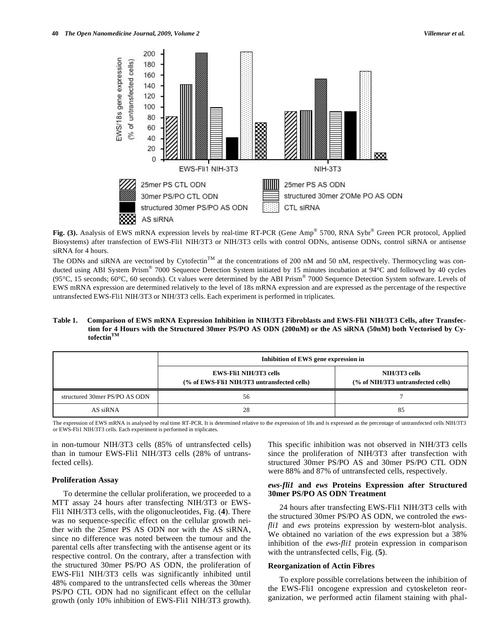

**Fig. (3).** Analysis of EWS mRNA expression levels by real-time RT-PCR (Gene Amp<sup>®</sup> 5700, RNA Sybr<sup>®</sup> Green PCR protocol, Applied Biosystems) after transfection of EWS-Fli1 NIH/3T3 or NIH/3T3 cells with control ODNs, antisense ODNs, control siRNA or antisense siRNA for 4 hours.

The ODNs and siRNA are vectorised by Cytofectin<sup>TM</sup> at the concentrations of 200 nM and 50 nM, respectively. Thermocycling was conducted using ABI System Prism® 7000 Sequence Detection System initiated by 15 minutes incubation at 94°C and followed by 40 cycles (95 $^{\circ}$ C, 15 seconds; 60 $^{\circ}$ C, 60 seconds). Ct values were determined by the ABI Prism® 7000 Sequence Detection System software. Levels of EWS mRNA expression are determined relatively to the level of 18s mRNA expression and are expressed as the percentage of the respective untransfected EWS-Fli1 NIH/3T3 or NIH/3T3 cells. Each experiment is performed in triplicates.

**Table 1. Comparison of EWS mRNA Expression Inhibition in NIH/3T3 Fibroblasts and EWS-Fli1 NIH/3T3 Cells, after Transfection for 4 Hours with the Structured 30mer PS/PO AS ODN (200nM) or the AS siRNA (50nM) both Vectorised by CytofectinTM**

|                               | Inhibition of EWS gene expression in                                         |                                                     |
|-------------------------------|------------------------------------------------------------------------------|-----------------------------------------------------|
|                               | <b>EWS-FII1 NIH/3T3 cells</b><br>(% of EWS-Fli1 NIH/3T3 untransfected cells) | NIH/3T3 cells<br>(% of NIH/3T3 untransfected cells) |
| structured 30mer PS/PO AS ODN | 56                                                                           |                                                     |
| AS siRNA                      | 28                                                                           | 85                                                  |

The expression of EWS mRNA is analysed by real time RT-PCR. It is determined relative to the expression of 18s and is expressed as the percentage of untransfected cells NIH/3T3 or EWS-Fli1 NIH/3T3 cells. Each experiment is performed in triplicates.

in non-tumour NIH/3T3 cells (85% of untransfected cells) than in tumour EWS-Fli1 NIH/3T3 cells (28% of untransfected cells).

# **Proliferation Assay**

 To determine the cellular proliferation, we proceeded to a MTT assay 24 hours after transfecting NIH/3T3 or EWS-Fli1 NIH/3T3 cells, with the oligonucleotides, Fig. (**4**). There was no sequence-specific effect on the cellular growth neither with the 25mer PS AS ODN nor with the AS siRNA, since no difference was noted between the tumour and the parental cells after transfecting with the antisense agent or its respective control. On the contrary, after a transfection with the structured 30mer PS/PO AS ODN, the proliferation of EWS-Fli1 NIH/3T3 cells was significantly inhibited until 48% compared to the untransfected cells whereas the 30mer PS/PO CTL ODN had no significant effect on the cellular growth (only 10% inhibition of EWS-Fli1 NIH/3T3 growth). This specific inhibition was not observed in NIH/3T3 cells since the proliferation of NIH/3T3 after transfection with structured 30mer PS/PO AS and 30mer PS/PO CTL ODN were 88% and 87% of untransfected cells, respectively.

# *ews-fli1* **and** *ews* **Proteins Expression after Structured 30mer PS/PO AS ODN Treatment**

 24 hours after transfecting EWS-Fli1 NIH/3T3 cells with the structured 30mer PS/PO AS ODN, we controled the *ewsfli1* and *ews* proteins expression by western-blot analysis. We obtained no variation of the *ews* expression but a 38% inhibition of the *ews-fli1* protein expression in comparison with the untransfected cells, Fig. (**5**).

#### **Reorganization of Actin Fibres**

 To explore possible correlations between the inhibition of the EWS-Fli1 oncogene expression and cytoskeleton reorganization, we performed actin filament staining with phal-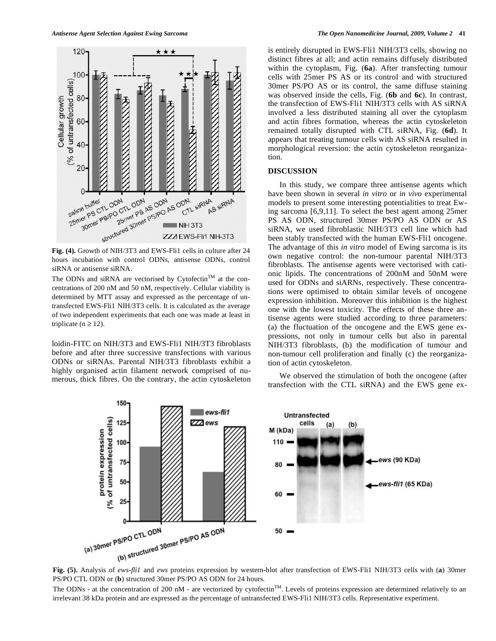

hours incubation with control ODNs, antisense ODNs, control siRNA or antisense siRNA.

The ODNs and siRNA are vectorised by Cytofectin<sup>TM</sup> at the concentrations of 200 nM and 50 nM, respectively. Cellular viability is determined by MTT assay and expressed as the percentage of untransfected EWS-Fli1 NIH/3T3 cells. It is calculated as the average of two independent experiments that each one was made at least in triplicate ( $n \ge 12$ ).

loidin-FITC on NIH/3T3 and EWS-Fli1 NIH/3T3 fibroblasts before and after three successive transfections with various ODNs or siRNAs. Parental NIH/3T3 fibroblasts exhibit a highly organised actin filament network comprised of numerous, thick fibres. On the contrary, the actin cytoskeleton

is entirely disrupted in EWS-Fli1 NIH/3T3 cells, showing no distinct fibres at all; and actin remains diffusely distributed within the cytoplasm, Fig. (**6a**). After transfecting tumour cells with 25mer PS AS or its control and with structured 30mer PS/PO AS or its control, the same diffuse staining was observed inside the cells, Fig. (**6b** and **6c**). In contrast, the transfection of EWS-Fli1 NIH/3T3 cells with AS siRNA involved a less distributed staining all over the cytoplasm and actin fibres formation, whereas the actin cytoskeleton remained totally disrupted with CTL siRNA, Fig. (**6d**). It appears that treating tumour cells with AS siRNA resulted in morphological reversion: the actin cytoskeleton reorganization.

#### **DISCUSSION**

 In this study, we compare three antisense agents which have been shown in several *in vitro* or *in vivo* experimental models to present some interesting potentialities to treat Ewing sarcoma [6,9,11]. To select the best agent among 25mer PS AS ODN, structured 30mer PS/PO AS ODN or AS siRNA, we used fibroblastic NIH/3T3 cell line which had been stably transfected with the human EWS-Fli1 oncogene. The advantage of this *in vitro* model of Ewing sarcoma is its own negative control: the non-tumour parental NIH/3T3 fibroblasts. The antisense agents were vectorised with cationic lipids. The concentrations of 200nM and 50nM were used for ODNs and siARNs, respectively. These concentrations were optimised to obtain similar levels of oncogene expression inhibition. Moreover this inhibition is the highest one with the lowest toxicity. The effects of these three antisense agents were studied according to three parameters: (a) the fluctuation of the oncogene and the EWS gene expressions, not only in tumour cells but also in parental NIH/3T3 fibroblasts, (b) the modification of tumour and non-tumour cell proliferation and finally (c) the reorganization of actin cytoskeleton.

 We observed the stimulation of both the oncogene (after transfection with the CTL siRNA) and the EWS gene ex-



**Fig. (5).** Analysis of *ews-fli1* and *ews* proteins expression by western-blot after transfection of EWS-Fli1 NIH/3T3 cells with (**a**) 30mer PS/PO CTL ODN or (**b**) structured 30mer PS/PO AS ODN for 24 hours.

The ODNs - at the concentration of 200 nM - are vectorized by cytofectin<sup>TM</sup>. Levels of proteins expression are determined relatively to an irrelevant 38 kDa protein and are expressed as the percentage of untransfected EWS-Fli1 NIH/3T3 cells. Representative experiment.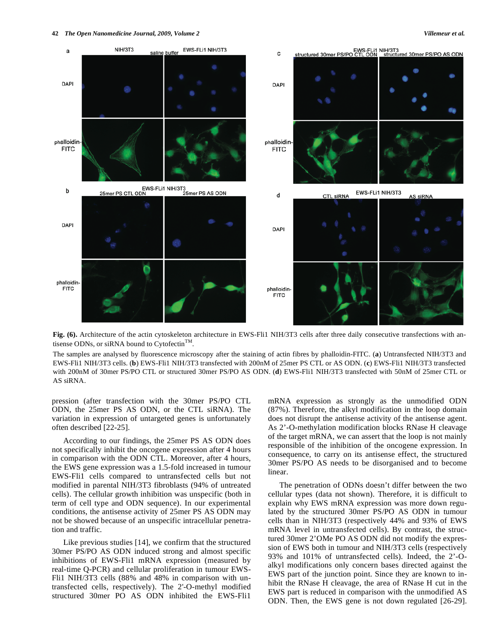

Fig. (6). Architecture of the actin cytoskeleton architecture in EWS-Fli1 NIH/3T3 cells after three daily consecutive transfections with antisense ODNs, or siRNA bound to Cytofectin<sup>TM</sup>.

The samples are analysed by fluorescence microscopy after the staining of actin fibres by phalloidin-FITC. (**a**) Untransfected NIH/3T3 and EWS-Fli1 NIH/3T3 cells. (**b**) EWS-Fli1 NIH/3T3 transfected with 200nM of 25mer PS CTL or AS ODN. (**c**) EWS-Fli1 NIH/3T3 transfected with 200nM of 30mer PS/PO CTL or structured 30mer PS/PO AS ODN. (**d**) EWS-Fli1 NIH/3T3 transfected with 50nM of 25mer CTL or AS siRNA.

pression (after transfection with the 30mer PS/PO CTL ODN, the 25mer PS AS ODN, or the CTL siRNA). The variation in expression of untargeted genes is unfortunately often described [22-25].

 According to our findings, the 25mer PS AS ODN does not specifically inhibit the oncogene expression after 4 hours in comparison with the ODN CTL. Moreover, after 4 hours, the EWS gene expression was a 1.5-fold increased in tumour EWS-Fli1 cells compared to untransfected cells but not modified in parental NIH/3T3 fibroblasts (94% of untreated cells). The cellular growth inhibition was unspecific (both in term of cell type and ODN sequence). In our experimental conditions, the antisense activity of 25mer PS AS ODN may not be showed because of an unspecific intracellular penetration and traffic.

 Like previous studies [14], we confirm that the structured 30mer PS/PO AS ODN induced strong and almost specific inhibitions of EWS-Fli1 mRNA expression (measured by real-time Q-PCR) and cellular proliferation in tumour EWS-Fli1 NIH/3T3 cells (88% and 48% in comparison with untransfected cells, respectively). The 2'-O-methyl modified structured 30mer PO AS ODN inhibited the EWS-Fli1

mRNA expression as strongly as the unmodified ODN (87%). Therefore, the alkyl modification in the loop domain does not disrupt the antisense activity of the antisense agent. As 2'-O-methylation modification blocks RNase H cleavage of the target mRNA, we can assert that the loop is not mainly responsible of the inhibition of the oncogene expression. In consequence, to carry on its antisense effect, the structured 30mer PS/PO AS needs to be disorganised and to become linear.

 The penetration of ODNs doesn't differ between the two cellular types (data not shown). Therefore, it is difficult to explain why EWS mRNA expression was more down regulated by the structured 30mer PS/PO AS ODN in tumour cells than in NIH/3T3 (respectively 44% and 93% of EWS mRNA level in untransfected cells). By contrast, the structured 30mer 2'OMe PO AS ODN did not modify the expression of EWS both in tumour and NIH/3T3 cells (respectively 93% and 101% of untransfected cells). Indeed, the 2'-Oalkyl modifications only concern bases directed against the EWS part of the junction point. Since they are known to inhibit the RNase H cleavage, the area of RNase H cut in the EWS part is reduced in comparison with the unmodified AS ODN. Then, the EWS gene is not down regulated [26-29].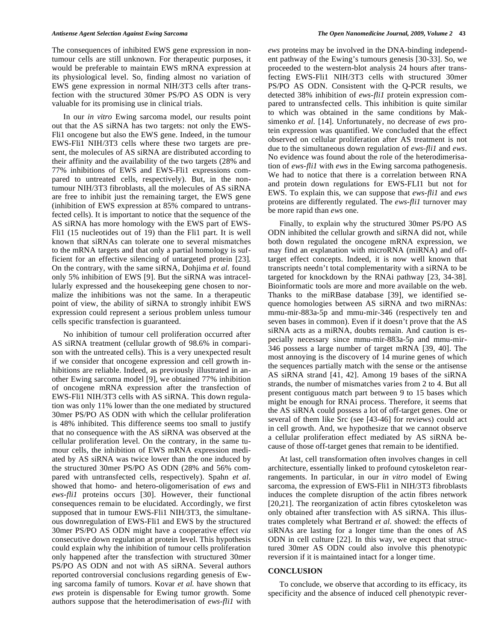The consequences of inhibited EWS gene expression in nontumour cells are still unknown. For therapeutic purposes, it would be preferable to maintain EWS mRNA expression at its physiological level. So, finding almost no variation of EWS gene expression in normal NIH/3T3 cells after transfection with the structured 30mer PS/PO AS ODN is very valuable for its promising use in clinical trials.

 In our *in vitro* Ewing sarcoma model, our results point out that the AS siRNA has two targets: not only the EWS-Fli1 oncogene but also the EWS gene. Indeed, in the tumour EWS-Fli1 NIH/3T3 cells where these two targets are present, the molecules of AS siRNA are distributed according to their affinity and the availability of the two targets (28% and 77% inhibitions of EWS and EWS-Fli1 expressions compared to untreated cells, respectively). But, in the nontumour NIH/3T3 fibroblasts, all the molecules of AS siRNA are free to inhibit just the remaining target, the EWS gene (inhibition of EWS expression at 85% compared to untransfected cells). It is important to notice that the sequence of the AS siRNA has more homology with the EWS part of EWS-Fli1 (15 nucleotides out of 19) than the Fli1 part. It is well known that siRNAs can tolerate one to several mismatches to the mRNA targets and that only a partial homology is sufficient for an effective silencing of untargeted protein [23]. On the contrary, with the same siRNA, Dohjima *et al.* found only 5% inhibition of EWS [9]. But the siRNA was intracellularly expressed and the housekeeping gene chosen to normalize the inhibitions was not the same. In a therapeutic point of view, the ability of siRNA to strongly inhibit EWS expression could represent a serious problem unless tumour cells specific transfection is guaranteed.

 No inhibition of tumour cell proliferation occurred after AS siRNA treatment (cellular growth of 98.6% in comparison with the untreated cells). This is a very unexpected result if we consider that oncogene expression and cell growth inhibitions are reliable. Indeed, as previously illustrated in another Ewing sarcoma model [9], we obtained 77% inhibition of oncogene mRNA expression after the transfection of EWS-Fli1 NIH/3T3 cells with AS siRNA. This down regulation was only 11% lower than the one mediated by structured 30mer PS/PO AS ODN with which the cellular proliferation is 48% inhibited. This difference seems too small to justify that no consequence with the AS siRNA was observed at the cellular proliferation level. On the contrary, in the same tumour cells, the inhibition of EWS mRNA expression mediated by AS siRNA was twice lower than the one induced by the structured 30mer PS/PO AS ODN (28% and 56% compared with untransfected cells, respectively). Spahn *et al.* showed that homo- and hetero-oligomerisation of *ews* and *ews-fli1* proteins occurs [30]. However, their functional consequences remain to be elucidated. Accordingly, we first supposed that in tumour EWS-Fli1 NIH/3T3, the simultaneous downregulation of EWS-Fli1 and EWS by the structured 30mer PS/PO AS ODN might have a cooperative effect *via*  consecutive down regulation at protein level. This hypothesis could explain why the inhibition of tumour cells proliferation only happened after the transfection with structured 30mer PS/PO AS ODN and not with AS siRNA. Several authors reported controversial conclusions regarding genesis of Ewing sarcoma family of tumors. Kovar *et al.* have shown that *ews* protein is dispensable for Ewing tumor growth. Some authors suppose that the heterodimerisation of *ews-fli1* with

*ews* proteins may be involved in the DNA-binding independent pathway of the Ewing's tumours genesis [30-33]. So, we proceeded to the western-blot analysis 24 hours after transfecting EWS-Fli1 NIH/3T3 cells with structured 30mer PS/PO AS ODN. Consistent with the Q-PCR results, we detected 38% inhibition of *ews-fli1* protein expression compared to untransfected cells. This inhibition is quite similar to which was obtained in the same conditions by Maksimenko *et al.* [14]. Unfortunately, no decrease of *ews* protein expression was quantified. We concluded that the effect observed on cellular proliferation after AS treatment is not due to the simultaneous down regulation of *ews-fli1* and *ews*. No evidence was found about the role of the heterodimerisation of *ews-fli1* with *ews* in the Ewing sarcoma pathogenesis. We had to notice that there is a correlation between RNA and protein down regulations for EWS-FLI1 but not for EWS. To explain this, we can suppose that *ews-fli1* and *ews* proteins are differently regulated. The *ews-fli1* turnover may be more rapid than *ews* one.

 Finally, to explain why the structured 30mer PS/PO AS ODN inhibited the cellular growth and siRNA did not, while both down regulated the oncogene mRNA expression, we may find an explanation with microRNA (miRNA) and offtarget effect concepts. Indeed, it is now well known that transcripts needn't total complementarity with a siRNA to be targeted for knockdown by the RNAi pathway [23, 34-38]. Bioinformatic tools are more and more available on the web. Thanks to the miRBase database [39], we identified sequence homologies between AS siRNA and two miRNAs: mmu-mir-883a-5p and mmu-mir-346 (respectively ten and seven bases in common). Even if it doesn't prove that the AS siRNA acts as a miRNA, doubts remain. And caution is especially necessary since mmu-mir-883a-5p and mmu-mir-346 possess a large number of target mRNA [39, 40]. The most annoying is the discovery of 14 murine genes of which the sequences partially match with the sense or the antisense AS siRNA strand [41, 42]. Among 19 bases of the siRNA strands, the number of mismatches varies from 2 to 4. But all present contiguous match part between 9 to 15 bases which might be enough for RNAi process. Therefore, it seems that the AS siRNA could possess a lot of off-target genes. One or several of them like Src (see [43-46] for reviews) could act in cell growth. And, we hypothesize that we cannot observe a cellular proliferation effect mediated by AS siRNA because of those off-target genes that remain to be identified.

 At last, cell transformation often involves changes in cell architecture, essentially linked to profound cytoskeleton rearrangements. In particular, in our *in vitro* model of Ewing sarcoma, the expression of EWS-Fli1 in NIH/3T3 fibroblasts induces the complete disruption of the actin fibres network [20,21]. The reorganization of actin fibres cytoskeleton was only obtained after transfection with AS siRNA. This illustrates completely what Bertrand *et al.* showed: the effects of siRNAs are lasting for a longer time than the ones of AS ODN in cell culture [22]. In this way, we expect that structured 30mer AS ODN could also involve this phenotypic reversion if it is maintained intact for a longer time.

### **CONCLUSION**

 To conclude, we observe that according to its efficacy, its specificity and the absence of induced cell phenotypic rever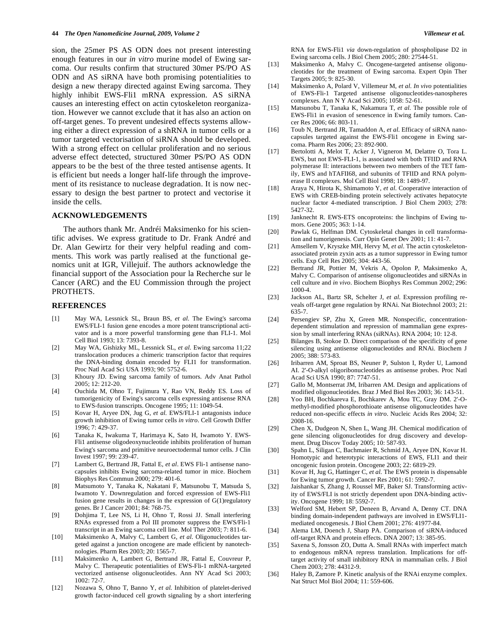sion, the 25mer PS AS ODN does not present interesting enough features in our *in vitro* murine model of Ewing sarcoma. Our results confirm that structured 30mer PS/PO AS ODN and AS siRNA have both promising potentialities to design a new therapy directed against Ewing sarcoma. They highly inhibit EWS-Fli1 mRNA expression. AS siRNA causes an interesting effect on actin cytoskeleton reorganization. However we cannot exclude that it has also an action on off-target genes. To prevent undesired effects systems allowing either a direct expression of a shRNA in tumor cells or a tumor targeted vectorisation of siRNA should be developed. With a strong effect on cellular proliferation and no serious adverse effect detected, structured 30mer PS/PO AS ODN appears to be the best of the three tested antisense agents. It is efficient but needs a longer half-life through the improvement of its resistance to nuclease degradation. It is now necessary to design the best partner to protect and vectorise it inside the cells.

# **ACKNOWLEDGEMENTS**

 The authors thank Mr. Andréi Maksimenko for his scientific advises. We express gratitude to Dr. Frank André and Dr. Alan Gewirtz for their very helpful reading and comments. This work was partly realised at the functional genomics unit at IGR, Villejuif. The authors acknowledge the financial support of the Association pour la Recherche sur le Cancer (ARC) and the EU Commission through the project PROTHETS.

# **REFERENCES**

- [1] May WA, Lessnick SL, Braun BS, *et al*. The Ewing's sarcoma EWS/FLI-1 fusion gene encodes a more potent transcriptional activator and is a more powerful transforming gene than FLI-1. Mol Cell Biol 1993; 13: 7393-8.
- [2] May WA, Gishizky ML, Lessnick SL, *et al*. Ewing sarcoma 11;22 translocation produces a chimeric transcription factor that requires the DNA-binding domain encoded by FLI1 for transformation. Proc Natl Acad Sci USA 1993; 90: 5752-6.
- [3] Khoury JD. Ewing sarcoma family of tumors. Adv Anat Pathol 2005; 12: 212-20.
- [4] Ouchida M, Ohno T, Fujimura Y, Rao VN, Reddy ES. Loss of tumorigenicity of Ewing's sarcoma cells expressing antisense RNA to EWS-fusion transcripts. Oncogene 1995; 11: 1049-54.
- [5] Kovar H, Aryee DN, Jug G, *et al.* EWS/FLI-1 antagonists induce growth inhibition of Ewing tumor cells *in vitro*. Cell Growth Differ 1996; 7: 429-37.
- [6] Tanaka K, Iwakuma T, Harimaya K, Sato H, Iwamoto Y. EWS-Fli1 antisense oligodeoxynucleotide inhibits proliferation of human Ewing's sarcoma and primitive neuroectodermal tumor cells. J Clin Invest 1997; 99: 239-47.
- [7] Lambert G, Bertrand JR, Fattal E, *et al*. EWS Fli-1 antisense nanocapsules inhibits Ewing sarcoma-related tumor in mice. Biochem Biophys Res Commun 2000; 279: 401-6.
- [8] Matsumoto Y, Tanaka K, Nakatani F, Matsunobu T, Matsuda S, Iwamoto Y. Downregulation and forced expression of EWS-Fli1 fusion gene results in changes in the expression of G(1)regulatory genes. Br J Cancer 2001; 84: 768-75.
- [9] Dohjima T, Lee NS, Li H, Ohno T, Rossi JJ. Small interfering RNAs expressed from a Pol III promoter suppress the EWS/Fli-1 transcript in an Ewing sarcoma cell line. Mol Ther 2003; 7: 811-6.
- [10] Maksimenko A, Malvy C, Lambert G, *et al*. Oligonucleotides targeted against a junction oncogene are made efficient by nanotechnologies. Pharm Res 2003; 20: 1565-7.
- [11] Maksimenko A, Lambert G, Bertrand JR, Fattal E, Couvreur P, Malvy C. Therapeutic potentialities of EWS-Fli-1 mRNA-targeted vectorized antisense oligonucleotides. Ann NY Acad Sci 2003; 1002: 72-7.
- [12] Nozawa S, Ohno T, Banno Y, *et al.* Inhibition of platelet-derived growth factor-induced cell growth signaling by a short interfering

RNA for EWS-Fli1 *via* down-regulation of phospholipase D2 in Ewing sarcoma cells. J Biol Chem 2005; 280: 27544-51.

- [13] Maksimenko A, Malvy C. Oncogene-targeted antisense oligonucleotides for the treatment of Ewing sarcoma. Expert Opin Ther Targets 2005; 9: 825-30.
- [14] Maksimenko A, Polard V, Villemeur M, *et al*. *In vivo* potentialities of EWS-Fli-1 Targeted antisense oligonucleotides-nanospheres complexes. Ann N Y Acad Sci 2005; 1058: 52-61.
- [15] Matsunobu T, Tanaka K, Nakamura T, *et al*. The possible role of EWS-Fli1 in evasion of senescence in Ewing family tumors. Cancer Res 2006; 66: 803-11.
- [16] Toub N, Bertrand JR, Tamaddon A, *et al*. Efficacy of siRNA nanocapsules targeted against the EWS-Fli1 oncogene in Ewing sarcoma. Pharm Res 2006; 23: 892-900.
- [17] Bertolotti A, Melot T, Acker J, Vigneron M, Delattre O, Tora L. EWS, but not EWS-FLI-1, is associated with both TFIID and RNA polymerase II: interactions between two members of the TET family, EWS and hTAFII68, and subunits of TFIID and RNA polymerase II complexes. Mol Cell Biol 1998; 18: 1489-97.
- [18] Araya N, Hirota K, Shimamoto Y, *et al*. Cooperative interaction of EWS with CREB-binding protein selectively activates hepatocyte nuclear factor 4-mediated transcription. J Biol Chem 2003; 278: 5427-32.
- [19] Janknecht R. EWS-ETS oncoproteins: the linchpins of Ewing tumors. Gene 2005; 363: 1-14.
- [20] Pawlak G, Helfman DM. Cytoskeletal changes in cell transformation and tumorigenesis. Curr Opin Genet Dev 2001; 11: 41-7.
- [21] Amsellem V, Kryszke MH, Hervy M, *et al*. The actin cytoskeletonassociated protein zyxin acts as a tumor suppressor in Ewing tumor cells. Exp Cell Res 2005; 304: 443-56.
- [22] Bertrand JR, Pottier M, Vekris A, Opolon P, Maksimenko A, Malvy C. Comparison of antisense oligonucleotides and siRNAs in cell culture and *in vivo*. Biochem Biophys Res Commun 2002; 296: 1000-4.
- [23] Jackson AL, Bartz SR, Schelter J, *et al*. Expression profiling reveals off-target gene regulation by RNAi. Nat Biotechnol 2003; 21: 635-7.
- [24] Persengiev SP, Zhu X, Green MR. Nonspecific, concentrationdependent stimulation and repression of mammalian gene expression by small interfering RNAs (siRNAs). RNA 2004; 10: 12-8.
- [25] Bilanges B, Stokoe D. Direct comparison of the specificity of gene silencing using antisense oligonucleotides and RNAi. Biochem J 2005; 388: 573-83.
- [26] Iribarren AM, Sproat BS, Neuner P, Sulston I, Ryder U, Lamond AI. 2'-O-alkyl oligoribonucleotides as antisense probes. Proc Natl Acad Sci USA 1990; 87: 7747-51.
- [27] Gallo M, Montserrat JM, Iribarren AM. Design and applications of modified oligonucleotides. Braz J Med Biol Res 2003; 36: 143-51.
- [28] Yoo BH, Bochkareva E, Bochkarev A, Mou TC, Gray DM. 2'-Omethyl-modified phosphorothioate antisense oligonucleotides have reduced non-specific effects *in vitro*. Nucleic Acids Res 2004; 32: 2008-16.
- [29] Chen X, Dudgeon N, Shen L, Wang JH. Chemical modification of gene silencing oligonucleotides for drug discovery and development. Drug Discov Today 2005; 10: 587-93.
- [30] Spahn L, Siligan C, Bachmaier R, Schmid JA, Aryee DN, Kovar H. Homotypic and heterotypic interactions of EWS, FLI1 and their oncogenic fusion protein. Oncogene 2003; 22: 6819-29.
- [31] Kovar H, Jug G, Hattinger C, *et al.* The EWS protein is dispensable for Ewing tumor growth. Cancer Res 2001; 61: 5992-7.
- [32] Jaishankar S, Zhang J, Roussel MF, Baker SJ. Transforming activity of EWS/FLI is not strictly dependent upon DNA-binding activity. Oncogene 1999; 18: 5592-7.
- [33] Welford SM, Hebert SP, Deneen B, Arvand A, Denny CT. DNA binding domain-independent pathways are involved in EWS/FLI1 mediated oncogenesis. J Biol Chem 2001; 276: 41977-84.
- [34] Alema LM, Doench J, Sharp PA. Comparison of siRNA-induced off-target RNA and protein effects. DNA 2007; 13: 385-95.
- [35] Saxena S, Jonsson ZO, Dutta A. Small RNAs with imperfect match to endogenous mRNA repress translation. Implications for offtarget activity of small inhibitory RNA in mammalian cells. J Biol Chem 2003; 278: 44312-9.
- [36] Haley B, Zamore P. Kinetic analysis of the RNAi enzyme complex. Nat Struct Mol Biol 2004; 11: 559-606.